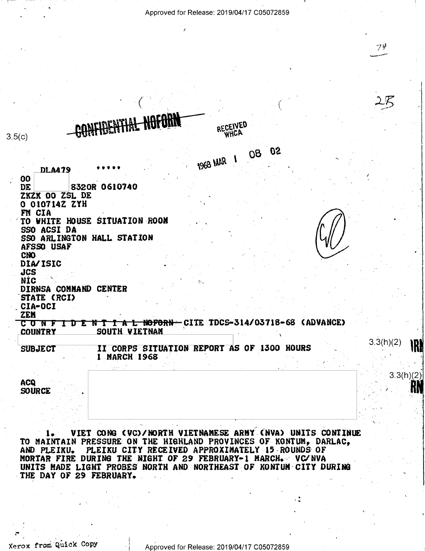Approved for Release: 2019/04/17 C05072859

RECEIVED whca

フリ

 $\mathcal{L}\mathcal{R}$ 

 $3.3(h)(2)$ 

1KI

 $3.3(h)(2)$ 

 $3.5(c)$ 

- 05  $08<sub>o</sub>$ 1968 MAR 1 **DLA479** 00 DE 8320R 0610740 ZKZK OO ZSL DE 0 010714Z ZYH FM CIA TO WHITE HOUSE SITUATION ROOM SSO ACSI DA SSO ARLINGTON HALL STATION **AFSSO USAF** CNO. DIA/ISIC **JCS NÍC** DIRNSA COMMAND CENTER STATE (RCI) CIA-OCI **ZEM** C O N F I D E N T I A L NOFORN CITE TDCS-314/03718-68 (ADVANCE) **COUNTRY** SOUTH VIETNAM II CORPS SITUATION REPORT AS OF 1300 HOURS **SUBJECT** 1 MARCH 1968 ACQ

NOFARA

**SOURCE** 

VIET CONG (VC)/NORTH VIETNAMESE ARMY (NVA) UNITS CONTINUE 1. TO MAINTAIN PRESSURE ON THE HIGHLAND PROVINCES OF KONTUM, DARLAC, PLEIKU CITY RECEIVED APPROXIMATELY 15 ROUNDS OF AND PLEIKU. MORTAR FIRE DURING THE NIGHT OF 29 FEBRUARY-1 MARCH. VC/NVA UNITS MADE LIGHT PROBES NORTH AND NORTHEAST OF KONTUM CITY DURING THE DAY OF 29 FEBRUARY.

Xerox from Quick Copy